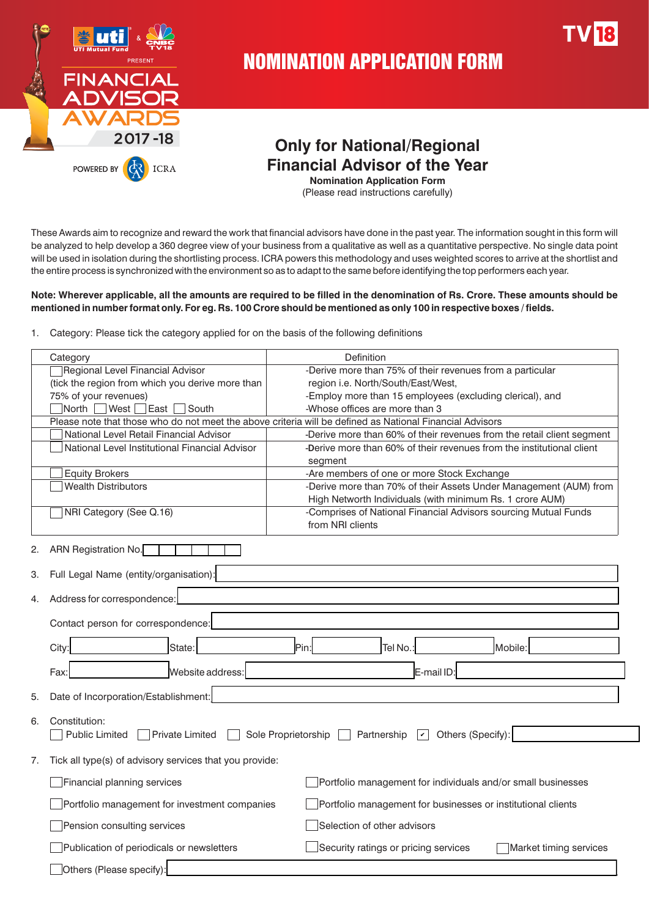

# NOMINATION APPLICATION FORM

## **Only for National/Regional Financial Advisor of the Year**

**Nomination Application Form**  (Please read instructions carefully)

These Awards aim to recognize and reward the work that financial advisors have done in the past year. The information sought in this form will be analyzed to help develop a 360 degree view of your business from a qualitative as well as a quantitative perspective. No single data point will be used in isolation during the shortlisting process. ICRA powers this methodology and uses weighted scores to arrive at the shortlist and the entire process is synchronized with the environment so as to adapt to the same before identifying the top performers each year.

### **Note: Wherever applicable, all the amounts are required to be filled in the denomination of Rs. Crore. These amounts should be mentioned in number format only. For eg. Rs. 100 Crore should be mentioned as only 100 in respective boxes / fields.**

|  | 1. Category: Please tick the category applied for on the basis of the following definitions |  |  |  |  |  |
|--|---------------------------------------------------------------------------------------------|--|--|--|--|--|
|--|---------------------------------------------------------------------------------------------|--|--|--|--|--|

| Category                                                      | Definition                                                                                               |
|---------------------------------------------------------------|----------------------------------------------------------------------------------------------------------|
| <b>Regional Level Financial Advisor</b>                       | -Derive more than 75% of their revenues from a particular                                                |
| (tick the region from which you derive more than              | region i.e. North/South/East/West,                                                                       |
| 75% of your revenues)                                         | -Employ more than 15 employees (excluding clerical), and                                                 |
| West<br>East<br>South<br>North                                | -Whose offices are more than 3                                                                           |
|                                                               | Please note that those who do not meet the above criteria will be defined as National Financial Advisors |
| National Level Retail Financial Advisor                       | -Derive more than 60% of their revenues from the retail client segment                                   |
| National Level Institutional Financial Advisor                | -Derive more than 60% of their revenues from the institutional client                                    |
|                                                               | segment                                                                                                  |
| <b>Equity Brokers</b>                                         | -Are members of one or more Stock Exchange                                                               |
| <b>Wealth Distributors</b>                                    | -Derive more than 70% of their Assets Under Management (AUM) from                                        |
|                                                               | High Networth Individuals (with minimum Rs. 1 crore AUM)                                                 |
| NRI Category (See Q.16)                                       | -Comprises of National Financial Advisors sourcing Mutual Funds                                          |
|                                                               | from NRI clients                                                                                         |
| ARN Registration No.<br>2.                                    |                                                                                                          |
| Full Legal Name (entity/organisation):<br>З.                  |                                                                                                          |
| Address for correspondence:<br>4.                             |                                                                                                          |
| Contact person for correspondence:                            |                                                                                                          |
| City:<br>State:                                               | Pin:<br>Tel No.:<br>Mobile:                                                                              |
| Website address:<br>Fax:                                      | E-mail ID:                                                                                               |
| Date of Incorporation/Establishment:<br>5.                    |                                                                                                          |
| Constitution:<br>6.                                           |                                                                                                          |
| <b>Public Limited</b><br><b>Private Limited</b>               | Others (Specify):<br>Sole Proprietorship<br>$\sqrt{2}$<br>Partnership                                    |
| Tick all type(s) of advisory services that you provide:<br>7. |                                                                                                          |
| Financial planning services                                   | Portfolio management for individuals and/or small businesses                                             |
| Portfolio management for investment companies                 | Portfolio management for businesses or institutional clients                                             |
| Pension consulting services                                   | Selection of other advisors                                                                              |
| Publication of periodicals or newsletters                     | Security ratings or pricing services<br>Market timing services                                           |
| Others (Please specify):                                      |                                                                                                          |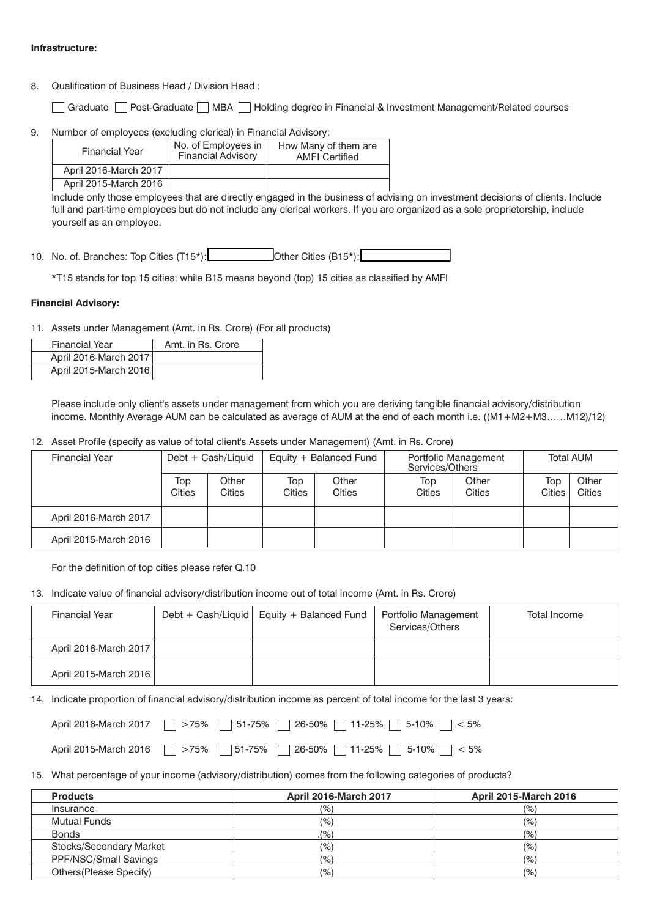### **Infrastructure:**

- 8. Qualification of Business Head / Division Head :
	- Graduate Post-Graduate MBA Holding degree in Financial & Investment Management/Related courses
- 9. Number of employees (excluding clerical) in Financial Advisory:

| <b>Financial Year</b> | No. of Employees in<br><b>Financial Advisory</b> | How Many of them are<br><b>AMFI</b> Certified |
|-----------------------|--------------------------------------------------|-----------------------------------------------|
| April 2016-March 2017 |                                                  |                                               |
| April 2015-March 2016 |                                                  |                                               |

Include only those employees that are directly engaged in the business of advising on investment decisions of clients. Include full and part-time employees but do not include any clerical workers. If you are organized as a sole proprietorship, include yourself as an employee.

10. No. of. Branches: Top Cities (T15\*): **We constrain the Cities (B15\*):** 

\*T15 stands for top 15 cities; while B15 means beyond (top) 15 cities as classified by AMFI

### **Financial Advisory:**

11. Assets under Management (Amt. in Rs. Crore) (For all products)

| <b>Financial Year</b> | Amt. in Rs. Crore |
|-----------------------|-------------------|
| April 2016-March 2017 |                   |
| April 2015-March 2016 |                   |

Please include only client's assets under management from which you are deriving tangible financial advisory/distribution income. Monthly Average AUM can be calculated as average of AUM at the end of each month i.e. ((M1+M2+M3……M12)/12)

12. Asset Profile (specify as value of total client's Assets under Management) (Amt. in Rs. Crore)

| <b>Financial Year</b> | Debt + Cash/Liquid |                 | Equity + Balanced Fund |                 | Portfolio Management<br>Services/Others |                 | <b>Total AUM</b> |                 |
|-----------------------|--------------------|-----------------|------------------------|-----------------|-----------------------------------------|-----------------|------------------|-----------------|
|                       | Top<br>Cities      | Other<br>Cities | Top<br>Cities          | Other<br>Cities | Top<br>Cities                           | Other<br>Cities | Top<br>Cities    | Other<br>Cities |
| April 2016-March 2017 |                    |                 |                        |                 |                                         |                 |                  |                 |
| April 2015-March 2016 |                    |                 |                        |                 |                                         |                 |                  |                 |

For the definition of top cities please refer Q.10

13. Indicate value of financial advisory/distribution income out of total income (Amt. in Rs. Crore)

| <b>Financial Year</b> | Debt + Cash/Liquid   Equity + Balanced Fund | Portfolio Management<br>Services/Others | Total Income |
|-----------------------|---------------------------------------------|-----------------------------------------|--------------|
| April 2016-March 2017 |                                             |                                         |              |
| April 2015-March 2016 |                                             |                                         |              |

14. Indicate proportion of financial advisory/distribution income as percent of total income for the last 3 years:

| April 2016-March 2017 > 75% 51-75% 26-50% 11-25% 5-10% < 5% |  |  |  |
|-------------------------------------------------------------|--|--|--|
| April 2015-March 2016 75% 51-75% 26-50% 11-25% 5-10% <6%    |  |  |  |

15. What percentage of your income (advisory/distribution) comes from the following categories of products?

| <b>Products</b>         | <b>April 2016-March 2017</b> | <b>April 2015-March 2016</b> |
|-------------------------|------------------------------|------------------------------|
| Insurance               | (%)                          | (% )                         |
| Mutual Funds            | $(\% )$                      | (% )                         |
| <b>Bonds</b>            | (%)                          | (% )                         |
| Stocks/Secondary Market | (%)                          | (% )                         |
| PPF/NSC/Small Savings   | (%)                          | (% )                         |
| Others (Please Specify) | $(\% )$                      | (% )                         |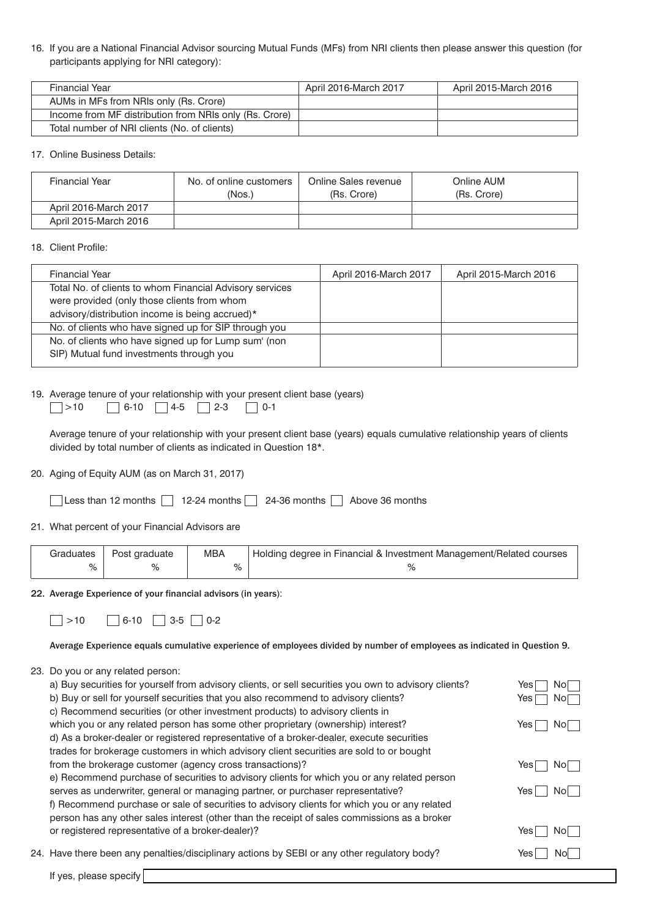16. If you are a National Financial Advisor sourcing Mutual Funds (MFs) from NRI clients then please answer this question (for participants applying for NRI category):

| <b>Financial Year</b>                                  | April 2016-March 2017 | April 2015-March 2016 |
|--------------------------------------------------------|-----------------------|-----------------------|
| AUMs in MFs from NRIs only (Rs. Crore)                 |                       |                       |
| Income from MF distribution from NRIs only (Rs. Crore) |                       |                       |
| Total number of NRI clients (No. of clients)           |                       |                       |

17. Online Business Details:

| Financial Year        | No. of online customers<br>(Nos.) | Online Sales revenue<br>(Rs. Crore) | Online AUM<br>(Rs. Crore) |
|-----------------------|-----------------------------------|-------------------------------------|---------------------------|
| April 2016-March 2017 |                                   |                                     |                           |
| April 2015-March 2016 |                                   |                                     |                           |

18. Client Profile:

| <b>Financial Year</b>                                    | April 2016-March 2017 | April 2015-March 2016 |
|----------------------------------------------------------|-----------------------|-----------------------|
| Total No. of clients to whom Financial Advisory services |                       |                       |
| were provided (only those clients from whom              |                       |                       |
| advisory/distribution income is being accrued)*          |                       |                       |
| No. of clients who have signed up for SIP through you    |                       |                       |
| No. of clients who have signed up for Lump sum' (non     |                       |                       |
| SIP) Mutual fund investments through you                 |                       |                       |
|                                                          |                       |                       |

### 19. Average tenure of your relationship with your present client base (years)

| $\Box$ >10 | $\Box$ 6-10 $\Box$ 4-5 $\Box$ 2-3 |  | $\Box$ 0-1 |
|------------|-----------------------------------|--|------------|

Average tenure of your relationship with your present client base (years) equals cumulative relationship years of clients divided by total number of clients as indicated in Question 18\*.

20. Aging of Equity AUM (as on March 31, 2017)

| Less than 12 months $\Box$ 12-24 months $\Box$ 24-36 months $\Box$ Above 36 months |  |  |
|------------------------------------------------------------------------------------|--|--|
|                                                                                    |  |  |

21. What percent of your Financial Advisors are

|   | Graduates   Post graduate | <b>MBA</b> | Holding degree in Financial & Investment Management/Related courses |  |
|---|---------------------------|------------|---------------------------------------------------------------------|--|
| % |                           |            |                                                                     |  |

22. Average Experience of your financial advisors (in years):

| $\Box$ >10 | $\Box$ 6-10 $\Box$ 3-5 $\Box$ 0-2 |  |
|------------|-----------------------------------|--|
|            |                                   |  |

Average Experience equals cumulative experience of employees divided by number of employees as indicated in Question 9.

### 23. Do you or any related person:

| a) Buy securities for yourself from advisory clients, or sell securities you own to advisory clients? | Yes | Nol |
|-------------------------------------------------------------------------------------------------------|-----|-----|
| b) Buy or sell for yourself securities that you also recommend to advisory clients?                   | Yes | Nol |
| c) Recommend securities (or other investment products) to advisory clients in                         |     |     |
| which you or any related person has some other proprietary (ownership) interest?                      | Yes | Nol |
| d) As a broker-dealer or registered representative of a broker-dealer, execute securities             |     |     |
| trades for brokerage customers in which advisory client securities are sold to or bought              |     |     |
| from the brokerage customer (agency cross transactions)?                                              | Yes | Nol |
| e) Recommend purchase of securities to advisory clients for which you or any related person           |     |     |
| serves as underwriter, general or managing partner, or purchaser representative?                      | Yes | Nol |
| f) Recommend purchase or sale of securities to advisory clients for which you or any related          |     |     |
| person has any other sales interest (other than the receipt of sales commissions as a broker          |     |     |
| or registered representative of a broker-dealer)?                                                     | Yes | Nol |
|                                                                                                       |     |     |
| 24. Have there been any penalties/disciplinary actions by SEBI or any other regulatory body?          | Yes | Nol |
|                                                                                                       |     |     |

If yes, please specify